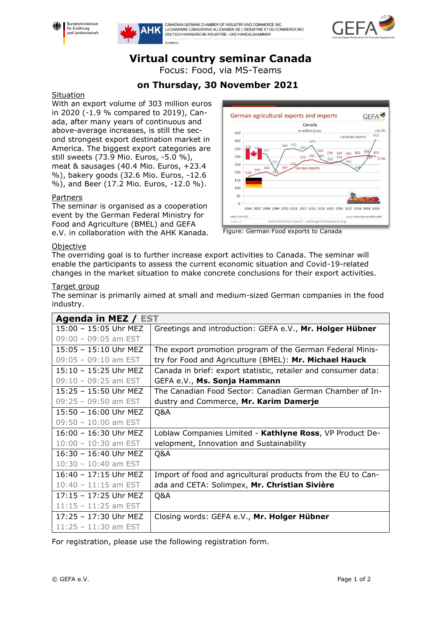



CANADIAN GERMAN CHAMBER OF INDUSTRY AND COMMERCE INC.<br>LA CHAMBRE CANADIENNE ALLEMANDE DE L'INDUSTRIE ET DU COMMERCE INC. DELITSCH-KANADISCHE INDUSTRIE - UND HANDELSKAMMER



# **Virtual country seminar Canada**

Focus: Food, via MS-Teams

## **on Thursday, 30 November 2021**

#### **Situation**

With an export volume of 303 million euros in 2020 (-1.9 % compared to 2019), Canada, after many years of continuous and above-average increases, is still the second strongest export destination market in America. The biggest export categories are still sweets (73.9 Mio. Euros, -5.0 %), meat & sausages (40.4 Mio. Euros, +23.4 %), bakery goods (32.6 Mio. Euros, -12.6 %), and Beer (17.2 Mio. Euros, -12.0 %).

### Partners

The seminar is organised as a cooperation event by the German Federal Ministry for Food and Agriculture (BMEL) and GEFA e.V. in collaboration with the AHK Kanada.





#### Objective

The overriding goal is to further increase export activities to Canada. The seminar will enable the participants to assess the current economic situation and Covid-19-related changes in the market situation to make concrete conclusions for their export activities.

### Target group

The seminar is primarily aimed at small and medium-sized German companies in the food industry.

| Agenda in MEZ / EST     |                                                                |
|-------------------------|----------------------------------------------------------------|
| 15:00 - 15:05 Uhr MEZ   | Greetings and introduction: GEFA e.V., Mr. Holger Hübner       |
| $09:00 - 09:05$ am EST  |                                                                |
| $15:05 - 15:10$ Uhr MEZ | The export promotion program of the German Federal Minis-      |
| $09:05 - 09:10$ am EST  | try for Food and Agriculture (BMEL): Mr. Michael Hauck         |
| 15:10 - 15:25 Uhr MEZ   | Canada in brief: export statistic, retailer and consumer data: |
| $09:10 - 09:25$ am EST  | GEFA e.V., Ms. Sonja Hammann                                   |
| 15:25 - 15:50 Uhr MEZ   | The Canadian Food Sector: Canadian German Chamber of In-       |
| $09:25 - 09:50$ am EST  | dustry and Commerce, Mr. Karim Damerje                         |
| 15:50 - 16:00 Uhr MEZ   | Q&A                                                            |
| $09:50 - 10:00$ am EST  |                                                                |
| $16:00 - 16:30$ Uhr MEZ | Loblaw Companies Limited - Kathlyne Ross, VP Product De-       |
| $10:00 - 10:30$ am EST  | velopment, Innovation and Sustainability                       |
| 16:30 - 16:40 Uhr MEZ   | Q&A                                                            |
| $10:30 - 10:40$ am EST  |                                                                |
| 16:40 - 17:15 Uhr MEZ   | Import of food and agricultural products from the EU to Can-   |
| $10:40 - 11:15$ am EST  | ada and CETA: Solimpex, Mr. Christian Sivière                  |
| 17:15 - 17:25 Uhr MEZ   | Q&A                                                            |
| $11:15 - 11:25$ am EST  |                                                                |
| 17:25 - 17:30 Uhr MEZ   | Closing words: GEFA e.V., Mr. Holger Hübner                    |
| $11:25 - 11:30$ am EST  |                                                                |

For registration, please use the following registration form.